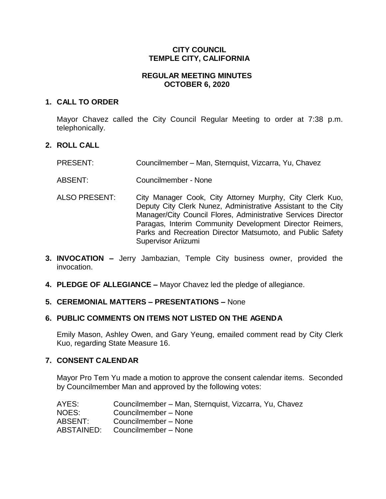# **CITY COUNCIL TEMPLE CITY, CALIFORNIA**

# **REGULAR MEETING MINUTES OCTOBER 6, 2020**

## **1. CALL TO ORDER**

Mayor Chavez called the City Council Regular Meeting to order at 7:38 p.m. telephonically.

## **2. ROLL CALL**

- PRESENT: Councilmember Man, Sternquist, Vizcarra, Yu, Chavez
- ABSENT: Councilmember None
- ALSO PRESENT: City Manager Cook, City Attorney Murphy, City Clerk Kuo, Deputy City Clerk Nunez, Administrative Assistant to the City Manager/City Council Flores, Administrative Services Director Paragas, Interim Community Development Director Reimers, Parks and Recreation Director Matsumoto, and Public Safety Supervisor Ariizumi
- **3. INVOCATION –** Jerry Jambazian, Temple City business owner, provided the invocation.
- **4. PLEDGE OF ALLEGIANCE –** Mayor Chavez led the pledge of allegiance.

## **5. CEREMONIAL MATTERS – PRESENTATIONS –** None

## **6. PUBLIC COMMENTS ON ITEMS NOT LISTED ON THE AGENDA**

Emily Mason, Ashley Owen, and Gary Yeung, emailed comment read by City Clerk Kuo, regarding State Measure 16.

#### **7. CONSENT CALENDAR**

Mayor Pro Tem Yu made a motion to approve the consent calendar items. Seconded by Councilmember Man and approved by the following votes:

| Councilmember – Man, Sternquist, Vizcarra, Yu, Chavez |
|-------------------------------------------------------|
| Councilmember - None                                  |
| Councilmember - None                                  |
| Councilmember - None                                  |
|                                                       |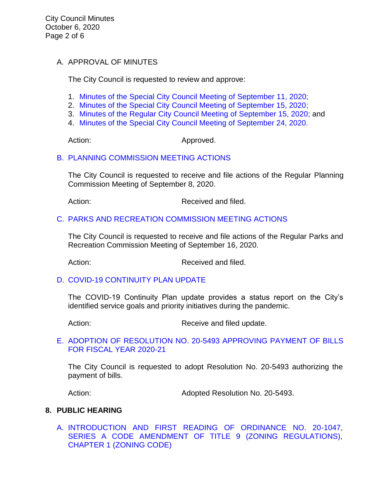City Council Minutes October 6, 2020 Page 2 of 6

# A. APPROVAL OF MINUTES

The City Council is requested to review and approve:

- 1. [Minutes of the Special](https://ca-templecity.civicplus.com/DocumentCenter/View/15135/03-7A1_CCM---2020-09-11-Special) City Council Meeting of September 11, 2020;
- 2. [Minutes of the Special City Council Meeting of September 15, 2020;](https://ca-templecity.civicplus.com/DocumentCenter/View/15136/04-7A2_CCM---2020-09-15-Special)
- 3. [Minutes of the Regular City Council Meeting of September 15, 2020;](https://ca-templecity.civicplus.com/DocumentCenter/View/15137/05-7A3_CCM---2020-09-15) and
- 4. [Minutes of the Special City Council Meeting of September 24, 2020.](https://ca-templecity.civicplus.com/DocumentCenter/View/15138/06-7A4_CCM---2020-09-24-Sheriff-Monthly)

Action: Approved.

## B. [PLANNING COMMISSION MEETING ACTIONS](https://ca-templecity.civicplus.com/DocumentCenter/View/15139/07-7B_PC-Actions_Staff-Report-2020-09-8_final)

The City Council is requested to receive and file actions of the Regular Planning Commission Meeting of September 8, 2020.

Action: Received and filed.

#### C. [PARKS AND RECREATION COMMISSION MEETING ACTIONS](https://ca-templecity.civicplus.com/DocumentCenter/View/15129/08-7C_PRC-Regular-Meeting-Actions_Staff-Report-2020-09-16)

The City Council is requested to receive and file actions of the Regular Parks and Recreation Commission Meeting of September 16, 2020.

Action: Received and filed.

## D. [COVID-19 CONTINUITY PLAN UPDATE](https://ca-templecity.civicplus.com/DocumentCenter/View/15130/09-7D_ContPlan_staff-report_final-with-attachments)

The COVID-19 Continuity Plan update provides a status report on the City's identified service goals and priority initiatives during the pandemic.

Action: Receive and filed update.

# E. [ADOPTION OF RESOLUTION NO. 20-5493](https://ca-templecity.civicplus.com/DocumentCenter/View/15131/10-7E_Warrant-Register_Reso-No-20-5493-with-attachment) APPROVING PAYMENT OF BILLS [FOR FISCAL YEAR 2020-21](https://ca-templecity.civicplus.com/DocumentCenter/View/15131/10-7E_Warrant-Register_Reso-No-20-5493-with-attachment)

The City Council is requested to adopt Resolution No. 20-5493 authorizing the payment of bills.

Action: Adopted Resolution No. 20-5493.

## **8. PUBLIC HEARING**

A. [INTRODUCTION AND FIRST READING OF ORDINANCE NO. 20-1047,](https://ca-templecity.civicplus.com/DocumentCenter/View/15132/11-8A_Public-Hearing_Series-A-Ordinance_Staff-Report_Revised_92320_final-with-attachments)  SERIES A CODE AMENDMENT OF TITLE 9 (ZONING REGULATIONS), [CHAPTER 1 \(ZONING CODE\)](https://ca-templecity.civicplus.com/DocumentCenter/View/15132/11-8A_Public-Hearing_Series-A-Ordinance_Staff-Report_Revised_92320_final-with-attachments)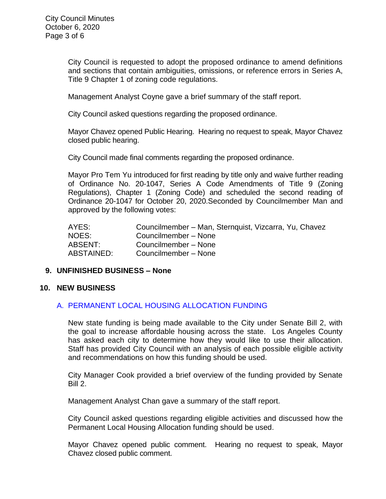City Council is requested to adopt the proposed ordinance to amend definitions and sections that contain ambiguities, omissions, or reference errors in Series A, Title 9 Chapter 1 of zoning code regulations.

Management Analyst Coyne gave a brief summary of the staff report.

City Council asked questions regarding the proposed ordinance.

Mayor Chavez opened Public Hearing. Hearing no request to speak, Mayor Chavez closed public hearing.

City Council made final comments regarding the proposed ordinance.

Mayor Pro Tem Yu introduced for first reading by title only and waive further reading of Ordinance No. 20-1047, Series A Code Amendments of Title 9 (Zoning Regulations), Chapter 1 (Zoning Code) and scheduled the second reading of Ordinance 20-1047 for October 20, 2020.Seconded by Councilmember Man and approved by the following votes:

| AYES:      | Councilmember - Man, Sternquist, Vizcarra, Yu, Chavez |
|------------|-------------------------------------------------------|
| NOES:      | Councilmember - None                                  |
| ABSENT:    | Councilmember - None                                  |
| ABSTAINED: | Councilmember - None                                  |

## **9. UNFINISHED BUSINESS – None**

#### **10. NEW BUSINESS**

## A. [PERMANENT LOCAL HOUSING ALLOCATION FUNDING](https://ca-templecity.civicplus.com/DocumentCenter/View/15133/12-10A_PLHA_Staff-Report_final-with-attachments)

New state funding is being made available to the City under Senate Bill 2, with the goal to increase affordable housing across the state. Los Angeles County has asked each city to determine how they would like to use their allocation. Staff has provided City Council with an analysis of each possible eligible activity and recommendations on how this funding should be used.

City Manager Cook provided a brief overview of the funding provided by Senate Bill 2.

Management Analyst Chan gave a summary of the staff report.

City Council asked questions regarding eligible activities and discussed how the Permanent Local Housing Allocation funding should be used.

Mayor Chavez opened public comment. Hearing no request to speak, Mayor Chavez closed public comment.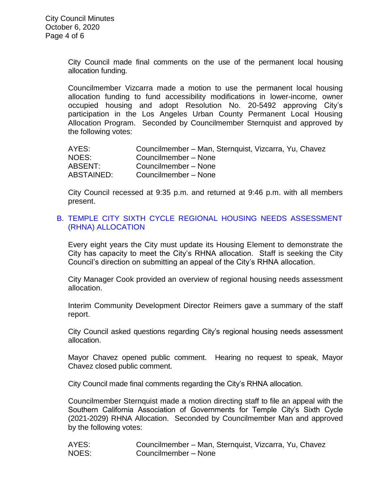City Council made final comments on the use of the permanent local housing allocation funding.

Councilmember Vizcarra made a motion to use the permanent local housing allocation funding to fund accessibility modifications in lower-income, owner occupied housing and adopt Resolution No. 20-5492 approving City's participation in the Los Angeles Urban County Permanent Local Housing Allocation Program. Seconded by Councilmember Sternquist and approved by the following votes:

| AYES:      | Councilmember – Man, Sternquist, Vizcarra, Yu, Chavez |
|------------|-------------------------------------------------------|
| NOES:      | Councilmember - None                                  |
| ABSENT:    | Councilmember - None                                  |
| ABSTAINED: | Councilmember - None                                  |

City Council recessed at 9:35 p.m. and returned at 9:46 p.m. with all members present.

## B. [TEMPLE CITY SIXTH CYCLE REGIONAL HOUSING NEEDS ASSESSMENT](https://ca-templecity.civicplus.com/DocumentCenter/View/15134/13-10B_RHNA_Staff-Report_final-with-attachments)  [\(RHNA\) ALLOCATION](https://ca-templecity.civicplus.com/DocumentCenter/View/15134/13-10B_RHNA_Staff-Report_final-with-attachments)

Every eight years the City must update its Housing Element to demonstrate the City has capacity to meet the City's RHNA allocation. Staff is seeking the City Council's direction on submitting an appeal of the City's RHNA allocation.

City Manager Cook provided an overview of regional housing needs assessment allocation.

Interim Community Development Director Reimers gave a summary of the staff report.

City Council asked questions regarding City's regional housing needs assessment allocation.

Mayor Chavez opened public comment. Hearing no request to speak, Mayor Chavez closed public comment.

City Council made final comments regarding the City's RHNA allocation.

Councilmember Sternquist made a motion directing staff to file an appeal with the Southern California Association of Governments for Temple City's Sixth Cycle (2021-2029) RHNA Allocation. Seconded by Councilmember Man and approved by the following votes:

AYES: Councilmember – Man, Sternquist, Vizcarra, Yu, Chavez NOES: Councilmember – None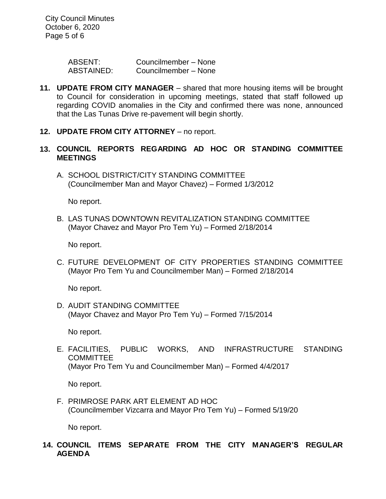City Council Minutes October 6, 2020 Page 5 of 6

> ABSENT: Councilmember – None ABSTAINED: Councilmember – None

- **11. UPDATE FROM CITY MANAGER** shared that more housing items will be brought to Council for consideration in upcoming meetings, stated that staff followed up regarding COVID anomalies in the City and confirmed there was none, announced that the Las Tunas Drive re-pavement will begin shortly.
- **12. UPDATE FROM CITY ATTORNEY** no report.
- **13. COUNCIL REPORTS REGARDING AD HOC OR STANDING COMMITTEE MEETINGS**
	- A. SCHOOL DISTRICT/CITY STANDING COMMITTEE (Councilmember Man and Mayor Chavez) – Formed 1/3/2012

No report.

B. LAS TUNAS DOWNTOWN REVITALIZATION STANDING COMMITTEE (Mayor Chavez and Mayor Pro Tem Yu) – Formed 2/18/2014

No report.

C. FUTURE DEVELOPMENT OF CITY PROPERTIES STANDING COMMITTEE (Mayor Pro Tem Yu and Councilmember Man) – Formed 2/18/2014

No report.

D. AUDIT STANDING COMMITTEE (Mayor Chavez and Mayor Pro Tem Yu) – Formed 7/15/2014

No report.

E. FACILITIES, PUBLIC WORKS, AND INFRASTRUCTURE STANDING **COMMITTEE** (Mayor Pro Tem Yu and Councilmember Man) – Formed 4/4/2017

No report.

F. PRIMROSE PARK ART ELEMENT AD HOC (Councilmember Vizcarra and Mayor Pro Tem Yu) – Formed 5/19/20

No report.

**14. COUNCIL ITEMS SEPARATE FROM THE CITY MANAGER'S REGULAR AGENDA**